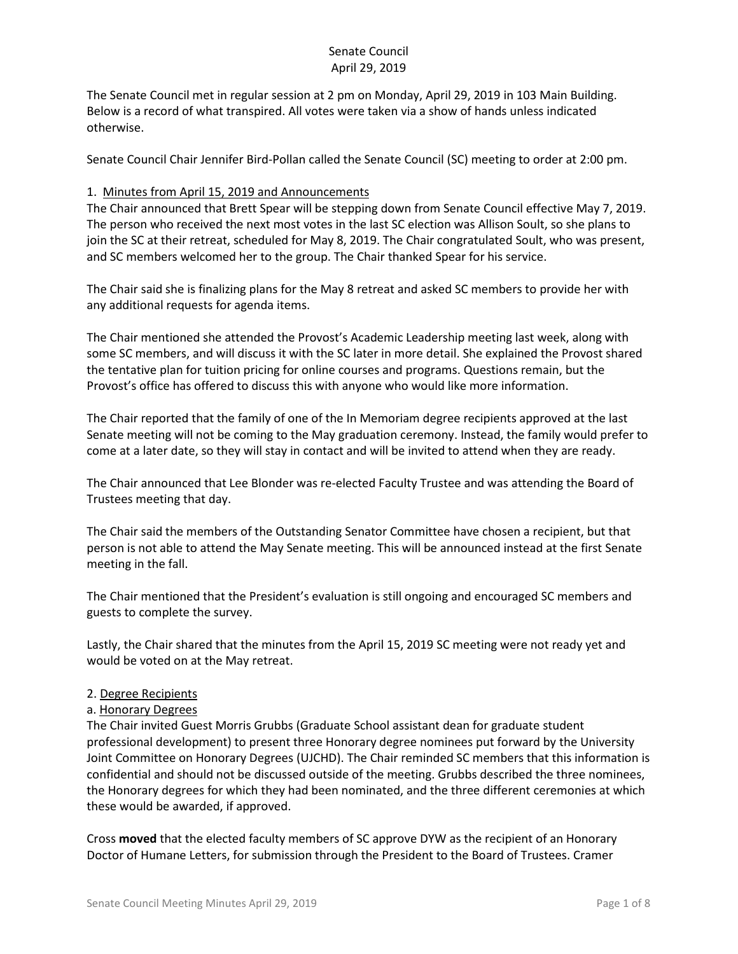The Senate Council met in regular session at 2 pm on Monday, April 29, 2019 in 103 Main Building. Below is a record of what transpired. All votes were taken via a show of hands unless indicated otherwise.

Senate Council Chair Jennifer Bird-Pollan called the Senate Council (SC) meeting to order at 2:00 pm.

#### 1. Minutes from April 15, 2019 and Announcements

The Chair announced that Brett Spear will be stepping down from Senate Council effective May 7, 2019. The person who received the next most votes in the last SC election was Allison Soult, so she plans to join the SC at their retreat, scheduled for May 8, 2019. The Chair congratulated Soult, who was present, and SC members welcomed her to the group. The Chair thanked Spear for his service.

The Chair said she is finalizing plans for the May 8 retreat and asked SC members to provide her with any additional requests for agenda items.

The Chair mentioned she attended the Provost's Academic Leadership meeting last week, along with some SC members, and will discuss it with the SC later in more detail. She explained the Provost shared the tentative plan for tuition pricing for online courses and programs. Questions remain, but the Provost's office has offered to discuss this with anyone who would like more information.

The Chair reported that the family of one of the In Memoriam degree recipients approved at the last Senate meeting will not be coming to the May graduation ceremony. Instead, the family would prefer to come at a later date, so they will stay in contact and will be invited to attend when they are ready.

The Chair announced that Lee Blonder was re-elected Faculty Trustee and was attending the Board of Trustees meeting that day.

The Chair said the members of the Outstanding Senator Committee have chosen a recipient, but that person is not able to attend the May Senate meeting. This will be announced instead at the first Senate meeting in the fall.

The Chair mentioned that the President's evaluation is still ongoing and encouraged SC members and guests to complete the survey.

Lastly, the Chair shared that the minutes from the April 15, 2019 SC meeting were not ready yet and would be voted on at the May retreat.

#### 2. Degree Recipients

#### a. Honorary Degrees

The Chair invited Guest Morris Grubbs (Graduate School assistant dean for graduate student professional development) to present three Honorary degree nominees put forward by the University Joint Committee on Honorary Degrees (UJCHD). The Chair reminded SC members that this information is confidential and should not be discussed outside of the meeting. Grubbs described the three nominees, the Honorary degrees for which they had been nominated, and the three different ceremonies at which these would be awarded, if approved.

Cross **moved** that the elected faculty members of SC approve DYW as the recipient of an Honorary Doctor of Humane Letters, for submission through the President to the Board of Trustees. Cramer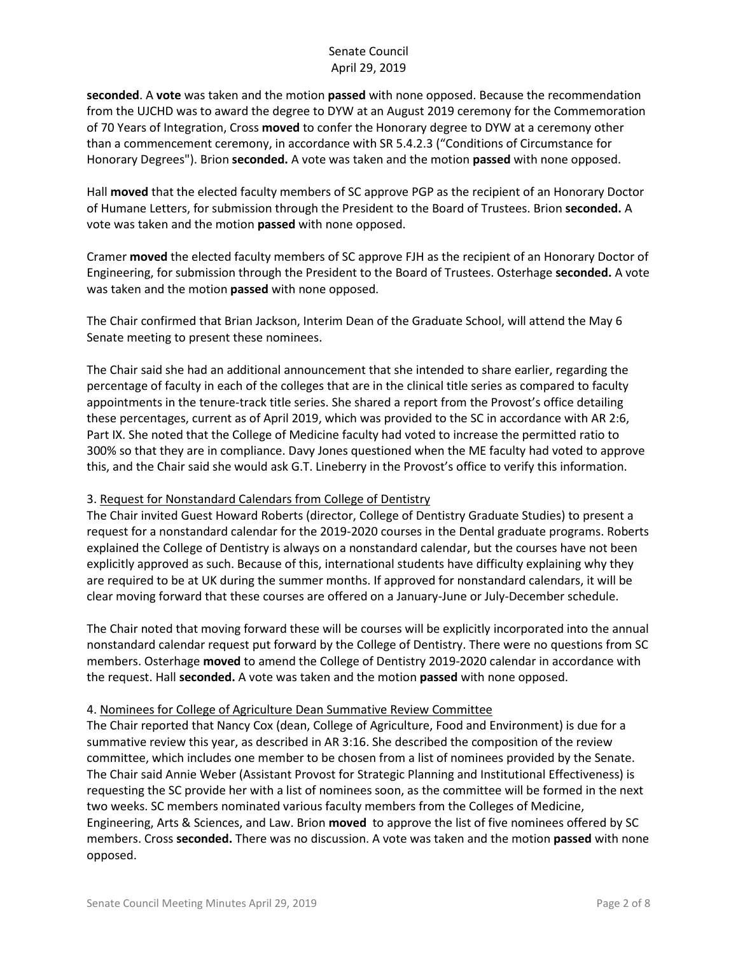**seconded**. A **vote** was taken and the motion **passed** with none opposed. Because the recommendation from the UJCHD was to award the degree to DYW at an August 2019 ceremony for the Commemoration of 70 Years of Integration, Cross **moved** to confer the Honorary degree to DYW at a ceremony other than a commencement ceremony, in accordance with SR 5.4.2.3 ("Conditions of Circumstance for Honorary Degrees"). Brion **seconded.** A vote was taken and the motion **passed** with none opposed.

Hall **moved** that the elected faculty members of SC approve PGP as the recipient of an Honorary Doctor of Humane Letters, for submission through the President to the Board of Trustees. Brion **seconded.** A vote was taken and the motion **passed** with none opposed.

Cramer **moved** the elected faculty members of SC approve FJH as the recipient of an Honorary Doctor of Engineering, for submission through the President to the Board of Trustees. Osterhage **seconded.** A vote was taken and the motion **passed** with none opposed.

The Chair confirmed that Brian Jackson, Interim Dean of the Graduate School, will attend the May 6 Senate meeting to present these nominees.

The Chair said she had an additional announcement that she intended to share earlier, regarding the percentage of faculty in each of the colleges that are in the clinical title series as compared to faculty appointments in the tenure-track title series. She shared a report from the Provost's office detailing these percentages, current as of April 2019, which was provided to the SC in accordance with AR 2:6, Part IX. She noted that the College of Medicine faculty had voted to increase the permitted ratio to 300% so that they are in compliance. Davy Jones questioned when the ME faculty had voted to approve this, and the Chair said she would ask G.T. Lineberry in the Provost's office to verify this information.

#### 3. Request for Nonstandard Calendars from College of Dentistry

The Chair invited Guest Howard Roberts (director, College of Dentistry Graduate Studies) to present a request for a nonstandard calendar for the 2019-2020 courses in the Dental graduate programs. Roberts explained the College of Dentistry is always on a nonstandard calendar, but the courses have not been explicitly approved as such. Because of this, international students have difficulty explaining why they are required to be at UK during the summer months. If approved for nonstandard calendars, it will be clear moving forward that these courses are offered on a January-June or July-December schedule.

The Chair noted that moving forward these will be courses will be explicitly incorporated into the annual nonstandard calendar request put forward by the College of Dentistry. There were no questions from SC members. Osterhage **moved** to amend the College of Dentistry 2019-2020 calendar in accordance with the request. Hall **seconded.** A vote was taken and the motion **passed** with none opposed.

#### 4. Nominees for College of Agriculture Dean Summative Review Committee

The Chair reported that Nancy Cox (dean, College of Agriculture, Food and Environment) is due for a summative review this year, as described in AR 3:16. She described the composition of the review committee, which includes one member to be chosen from a list of nominees provided by the Senate. The Chair said Annie Weber (Assistant Provost for Strategic Planning and Institutional Effectiveness) is requesting the SC provide her with a list of nominees soon, as the committee will be formed in the next two weeks. SC members nominated various faculty members from the Colleges of Medicine, Engineering, Arts & Sciences, and Law. Brion **moved** to approve the list of five nominees offered by SC members. Cross **seconded.** There was no discussion. A vote was taken and the motion **passed** with none opposed.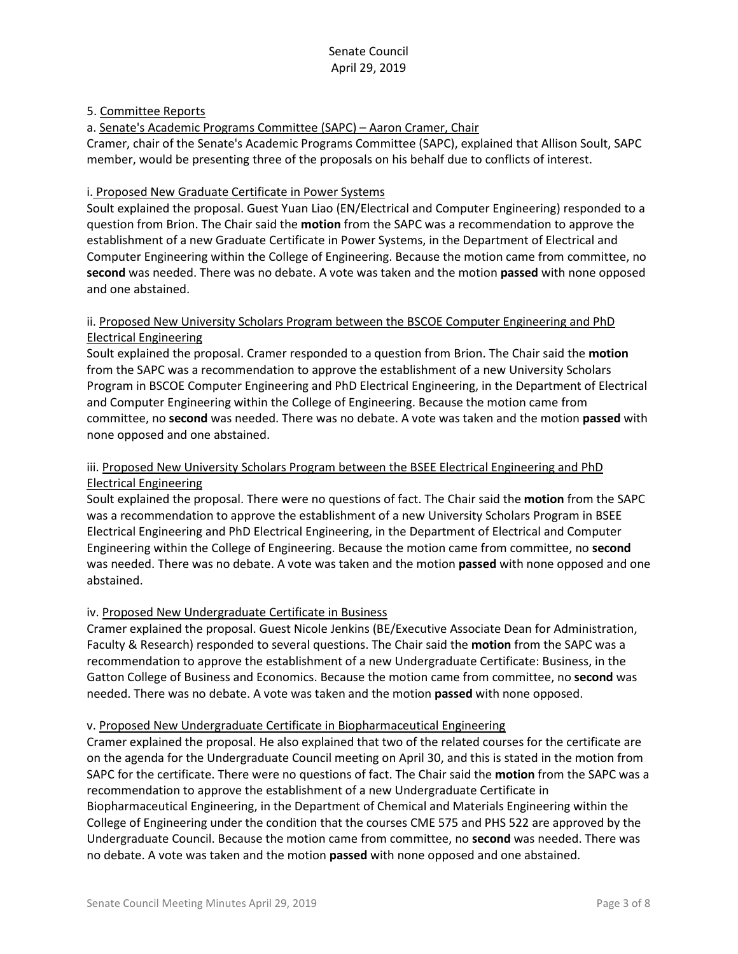### 5. Committee Reports

### a. Senate's Academic Programs Committee (SAPC) – Aaron Cramer, Chair

Cramer, chair of the Senate's Academic Programs Committee (SAPC), explained that Allison Soult, SAPC member, would be presenting three of the proposals on his behalf due to conflicts of interest.

### i. Proposed New Graduate Certificate in Power Systems

Soult explained the proposal. Guest Yuan Liao (EN/Electrical and Computer Engineering) responded to a question from Brion. The Chair said the **motion** from the SAPC was a recommendation to approve the establishment of a new Graduate Certificate in Power Systems, in the Department of Electrical and Computer Engineering within the College of Engineering. Because the motion came from committee, no **second** was needed. There was no debate. A vote was taken and the motion **passed** with none opposed and one abstained.

## ii. Proposed New University Scholars Program between the BSCOE Computer Engineering and PhD Electrical Engineering

Soult explained the proposal. Cramer responded to a question from Brion. The Chair said the **motion**  from the SAPC was a recommendation to approve the establishment of a new University Scholars Program in BSCOE Computer Engineering and PhD Electrical Engineering, in the Department of Electrical and Computer Engineering within the College of Engineering. Because the motion came from committee, no **second** was needed. There was no debate. A vote was taken and the motion **passed** with none opposed and one abstained.

### iii. Proposed New University Scholars Program between the BSEE Electrical Engineering and PhD Electrical Engineering

Soult explained the proposal. There were no questions of fact. The Chair said the **motion** from the SAPC was a recommendation to approve the establishment of a new University Scholars Program in BSEE Electrical Engineering and PhD Electrical Engineering, in the Department of Electrical and Computer Engineering within the College of Engineering. Because the motion came from committee, no **second**  was needed. There was no debate. A vote was taken and the motion **passed** with none opposed and one abstained.

# iv. Proposed New Undergraduate Certificate in Business

Cramer explained the proposal. Guest Nicole Jenkins (BE/Executive Associate Dean for Administration, Faculty & Research) responded to several questions. The Chair said the **motion** from the SAPC was a recommendation to approve the establishment of a new Undergraduate Certificate: Business, in the Gatton College of Business and Economics. Because the motion came from committee, no **second** was needed. There was no debate. A vote was taken and the motion **passed** with none opposed.

#### v. Proposed New Undergraduate Certificate in Biopharmaceutical Engineering

Cramer explained the proposal. He also explained that two of the related courses for the certificate are on the agenda for the Undergraduate Council meeting on April 30, and this is stated in the motion from SAPC for the certificate. There were no questions of fact. The Chair said the **motion** from the SAPC was a recommendation to approve the establishment of a new Undergraduate Certificate in Biopharmaceutical Engineering, in the Department of Chemical and Materials Engineering within the College of Engineering under the condition that the courses CME 575 and PHS 522 are approved by the Undergraduate Council. Because the motion came from committee, no **second** was needed. There was no debate. A vote was taken and the motion **passed** with none opposed and one abstained.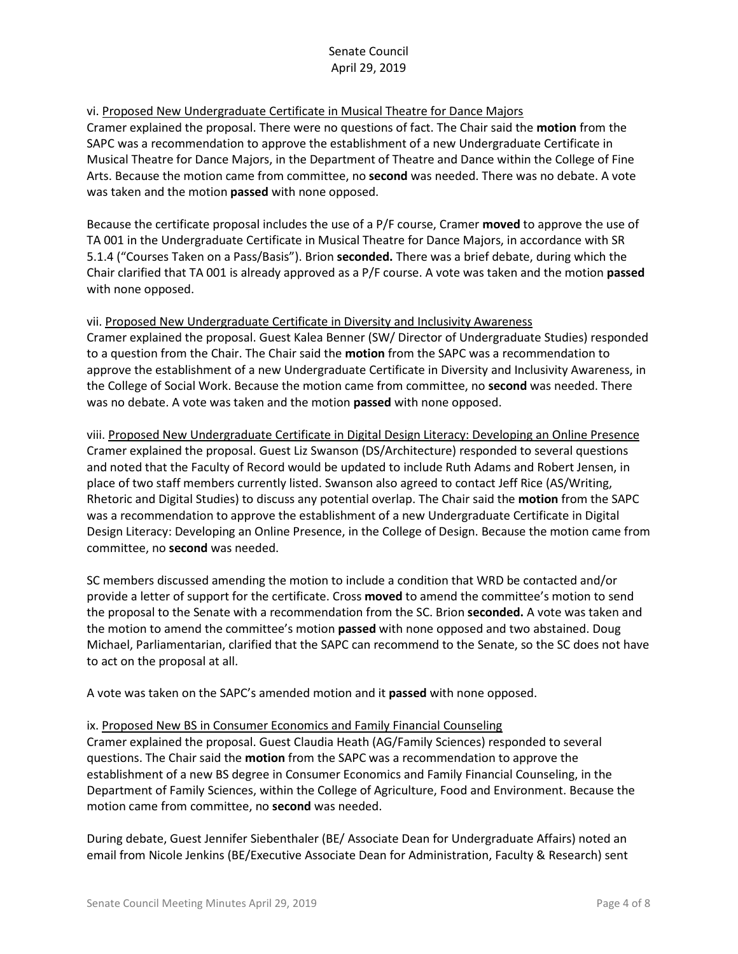### vi. Proposed New Undergraduate Certificate in Musical Theatre for Dance Majors

Cramer explained the proposal. There were no questions of fact. The Chair said the **motion** from the SAPC was a recommendation to approve the establishment of a new Undergraduate Certificate in Musical Theatre for Dance Majors, in the Department of Theatre and Dance within the College of Fine Arts. Because the motion came from committee, no **second** was needed. There was no debate. A vote was taken and the motion **passed** with none opposed.

Because the certificate proposal includes the use of a P/F course, Cramer **moved** to approve the use of TA 001 in the Undergraduate Certificate in Musical Theatre for Dance Majors, in accordance with SR 5.1.4 ("Courses Taken on a Pass/Basis"). Brion **seconded.** There was a brief debate, during which the Chair clarified that TA 001 is already approved as a P/F course. A vote was taken and the motion **passed**  with none opposed.

vii. Proposed New Undergraduate Certificate in Diversity and Inclusivity Awareness Cramer explained the proposal. Guest Kalea Benner (SW/ Director of Undergraduate Studies) responded to a question from the Chair. The Chair said the **motion** from the SAPC was a recommendation to approve the establishment of a new Undergraduate Certificate in Diversity and Inclusivity Awareness, in the College of Social Work. Because the motion came from committee, no **second** was needed. There was no debate. A vote was taken and the motion **passed** with none opposed.

viii. Proposed New Undergraduate Certificate in Digital Design Literacy: Developing an Online Presence Cramer explained the proposal. Guest Liz Swanson (DS/Architecture) responded to several questions and noted that the Faculty of Record would be updated to include Ruth Adams and Robert Jensen, in place of two staff members currently listed. Swanson also agreed to contact Jeff Rice (AS/Writing, Rhetoric and Digital Studies) to discuss any potential overlap. The Chair said the **motion** from the SAPC was a recommendation to approve the establishment of a new Undergraduate Certificate in Digital Design Literacy: Developing an Online Presence, in the College of Design. Because the motion came from committee, no **second** was needed.

SC members discussed amending the motion to include a condition that WRD be contacted and/or provide a letter of support for the certificate. Cross **moved** to amend the committee's motion to send the proposal to the Senate with a recommendation from the SC. Brion **seconded.** A vote was taken and the motion to amend the committee's motion **passed** with none opposed and two abstained. Doug Michael, Parliamentarian, clarified that the SAPC can recommend to the Senate, so the SC does not have to act on the proposal at all.

A vote was taken on the SAPC's amended motion and it **passed** with none opposed.

#### ix. Proposed New BS in Consumer Economics and Family Financial Counseling

Cramer explained the proposal. Guest Claudia Heath (AG/Family Sciences) responded to several questions. The Chair said the **motion** from the SAPC was a recommendation to approve the establishment of a new BS degree in Consumer Economics and Family Financial Counseling, in the Department of Family Sciences, within the College of Agriculture, Food and Environment. Because the motion came from committee, no **second** was needed.

During debate, Guest Jennifer Siebenthaler (BE/ Associate Dean for Undergraduate Affairs) noted an email from Nicole Jenkins (BE/Executive Associate Dean for Administration, Faculty & Research) sent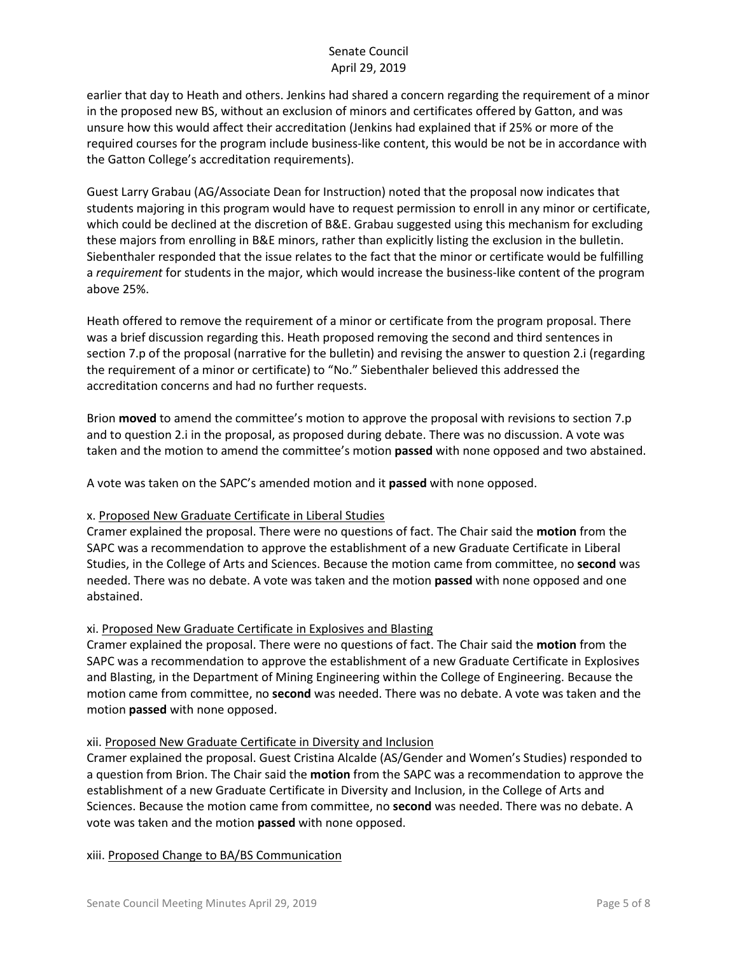earlier that day to Heath and others. Jenkins had shared a concern regarding the requirement of a minor in the proposed new BS, without an exclusion of minors and certificates offered by Gatton, and was unsure how this would affect their accreditation (Jenkins had explained that if 25% or more of the required courses for the program include business-like content, this would be not be in accordance with the Gatton College's accreditation requirements).

Guest Larry Grabau (AG/Associate Dean for Instruction) noted that the proposal now indicates that students majoring in this program would have to request permission to enroll in any minor or certificate, which could be declined at the discretion of B&E. Grabau suggested using this mechanism for excluding these majors from enrolling in B&E minors, rather than explicitly listing the exclusion in the bulletin. Siebenthaler responded that the issue relates to the fact that the minor or certificate would be fulfilling a *requirement* for students in the major, which would increase the business-like content of the program above 25%.

Heath offered to remove the requirement of a minor or certificate from the program proposal. There was a brief discussion regarding this. Heath proposed removing the second and third sentences in section 7.p of the proposal (narrative for the bulletin) and revising the answer to question 2.i (regarding the requirement of a minor or certificate) to "No." Siebenthaler believed this addressed the accreditation concerns and had no further requests.

Brion **moved** to amend the committee's motion to approve the proposal with revisions to section 7.p and to question 2.i in the proposal, as proposed during debate. There was no discussion. A vote was taken and the motion to amend the committee's motion **passed** with none opposed and two abstained.

A vote was taken on the SAPC's amended motion and it **passed** with none opposed.

#### x. Proposed New Graduate Certificate in Liberal Studies

Cramer explained the proposal. There were no questions of fact. The Chair said the **motion** from the SAPC was a recommendation to approve the establishment of a new Graduate Certificate in Liberal Studies, in the College of Arts and Sciences. Because the motion came from committee, no **second** was needed. There was no debate. A vote was taken and the motion **passed** with none opposed and one abstained.

# xi. Proposed New Graduate Certificate in Explosives and Blasting

Cramer explained the proposal. There were no questions of fact. The Chair said the **motion** from the SAPC was a recommendation to approve the establishment of a new Graduate Certificate in Explosives and Blasting, in the Department of Mining Engineering within the College of Engineering. Because the motion came from committee, no **second** was needed. There was no debate. A vote was taken and the motion **passed** with none opposed.

# xii. Proposed New Graduate Certificate in Diversity and Inclusion

Cramer explained the proposal. Guest Cristina Alcalde (AS/Gender and Women's Studies) responded to a question from Brion. The Chair said the **motion** from the SAPC was a recommendation to approve the establishment of a new Graduate Certificate in Diversity and Inclusion, in the College of Arts and Sciences. Because the motion came from committee, no **second** was needed. There was no debate. A vote was taken and the motion **passed** with none opposed.

xiii. Proposed Change to BA/BS Communication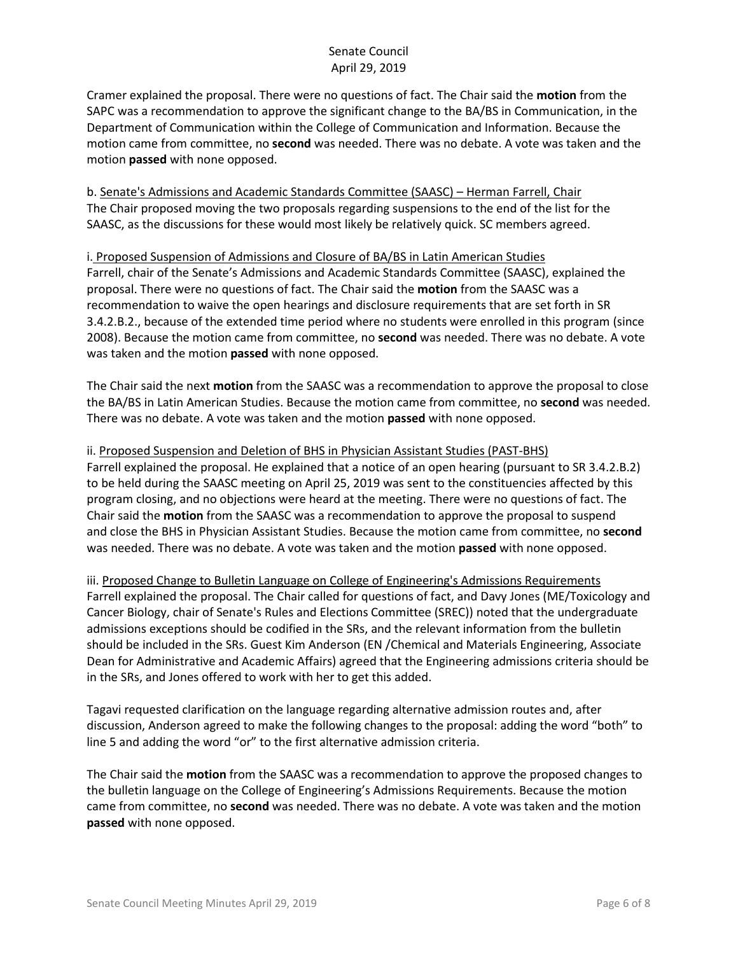Cramer explained the proposal. There were no questions of fact. The Chair said the **motion** from the SAPC was a recommendation to approve the significant change to the BA/BS in Communication, in the Department of Communication within the College of Communication and Information. Because the motion came from committee, no **second** was needed. There was no debate. A vote was taken and the motion **passed** with none opposed.

b. Senate's Admissions and Academic Standards Committee (SAASC) – Herman Farrell, Chair The Chair proposed moving the two proposals regarding suspensions to the end of the list for the SAASC, as the discussions for these would most likely be relatively quick. SC members agreed.

### i. Proposed Suspension of Admissions and Closure of BA/BS in Latin American Studies Farrell, chair of the Senate's Admissions and Academic Standards Committee (SAASC), explained the proposal. There were no questions of fact. The Chair said the **motion** from the SAASC was a recommendation to waive the open hearings and disclosure requirements that are set forth in SR 3.4.2.B.2., because of the extended time period where no students were enrolled in this program (since 2008). Because the motion came from committee, no **second** was needed. There was no debate. A vote was taken and the motion **passed** with none opposed.

The Chair said the next **motion** from the SAASC was a recommendation to approve the proposal to close the BA/BS in Latin American Studies. Because the motion came from committee, no **second** was needed. There was no debate. A vote was taken and the motion **passed** with none opposed.

### ii. Proposed Suspension and Deletion of BHS in Physician Assistant Studies (PAST-BHS)

Farrell explained the proposal. He explained that a notice of an open hearing (pursuant to SR 3.4.2.B.2) to be held during the SAASC meeting on April 25, 2019 was sent to the constituencies affected by this program closing, and no objections were heard at the meeting. There were no questions of fact. The Chair said the **motion** from the SAASC was a recommendation to approve the proposal to suspend and close the BHS in Physician Assistant Studies. Because the motion came from committee, no **second** was needed. There was no debate. A vote was taken and the motion **passed** with none opposed.

# iii. Proposed Change to Bulletin Language on College of Engineering's Admissions Requirements Farrell explained the proposal. The Chair called for questions of fact, and Davy Jones (ME/Toxicology and Cancer Biology, chair of Senate's Rules and Elections Committee (SREC)) noted that the undergraduate admissions exceptions should be codified in the SRs, and the relevant information from the bulletin should be included in the SRs. Guest Kim Anderson (EN /Chemical and Materials Engineering, Associate Dean for Administrative and Academic Affairs) agreed that the Engineering admissions criteria should be in the SRs, and Jones offered to work with her to get this added.

Tagavi requested clarification on the language regarding alternative admission routes and, after discussion, Anderson agreed to make the following changes to the proposal: adding the word "both" to line 5 and adding the word "or" to the first alternative admission criteria.

The Chair said the **motion** from the SAASC was a recommendation to approve the proposed changes to the bulletin language on the College of Engineering's Admissions Requirements. Because the motion came from committee, no **second** was needed. There was no debate. A vote was taken and the motion **passed** with none opposed.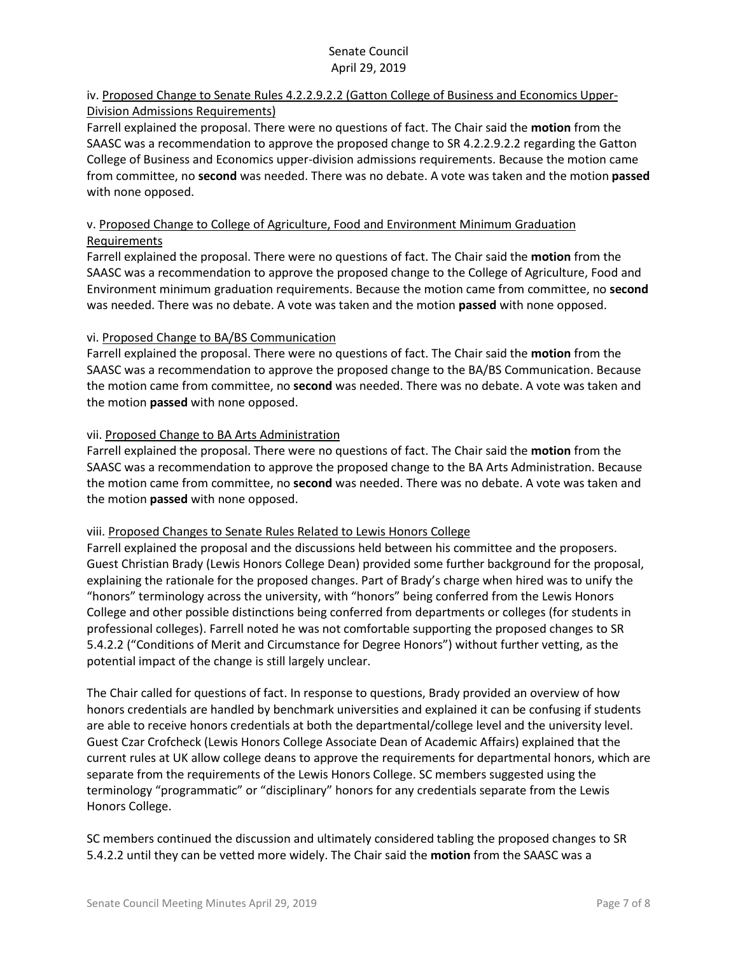# iv. Proposed Change to Senate Rules 4.2.2.9.2.2 (Gatton College of Business and Economics Upper-Division Admissions Requirements)

Farrell explained the proposal. There were no questions of fact. The Chair said the **motion** from the SAASC was a recommendation to approve the proposed change to SR 4.2.2.9.2.2 regarding the Gatton College of Business and Economics upper-division admissions requirements. Because the motion came from committee, no **second** was needed. There was no debate. A vote was taken and the motion **passed** with none opposed.

# v. Proposed Change to College of Agriculture, Food and Environment Minimum Graduation Requirements

Farrell explained the proposal. There were no questions of fact. The Chair said the **motion** from the SAASC was a recommendation to approve the proposed change to the College of Agriculture, Food and Environment minimum graduation requirements. Because the motion came from committee, no **second** was needed. There was no debate. A vote was taken and the motion **passed** with none opposed.

### vi. Proposed Change to BA/BS Communication

Farrell explained the proposal. There were no questions of fact. The Chair said the **motion** from the SAASC was a recommendation to approve the proposed change to the BA/BS Communication. Because the motion came from committee, no **second** was needed. There was no debate. A vote was taken and the motion **passed** with none opposed.

### vii. Proposed Change to BA Arts Administration

Farrell explained the proposal. There were no questions of fact. The Chair said the **motion** from the SAASC was a recommendation to approve the proposed change to the BA Arts Administration. Because the motion came from committee, no **second** was needed. There was no debate. A vote was taken and the motion **passed** with none opposed.

#### viii. Proposed Changes to Senate Rules Related to Lewis Honors College

Farrell explained the proposal and the discussions held between his committee and the proposers. Guest Christian Brady (Lewis Honors College Dean) provided some further background for the proposal, explaining the rationale for the proposed changes. Part of Brady's charge when hired was to unify the "honors" terminology across the university, with "honors" being conferred from the Lewis Honors College and other possible distinctions being conferred from departments or colleges (for students in professional colleges). Farrell noted he was not comfortable supporting the proposed changes to SR 5.4.2.2 ("Conditions of Merit and Circumstance for Degree Honors") without further vetting, as the potential impact of the change is still largely unclear.

The Chair called for questions of fact. In response to questions, Brady provided an overview of how honors credentials are handled by benchmark universities and explained it can be confusing if students are able to receive honors credentials at both the departmental/college level and the university level. Guest Czar Crofcheck (Lewis Honors College Associate Dean of Academic Affairs) explained that the current rules at UK allow college deans to approve the requirements for departmental honors, which are separate from the requirements of the Lewis Honors College. SC members suggested using the terminology "programmatic" or "disciplinary" honors for any credentials separate from the Lewis Honors College.

SC members continued the discussion and ultimately considered tabling the proposed changes to SR 5.4.2.2 until they can be vetted more widely. The Chair said the **motion** from the SAASC was a